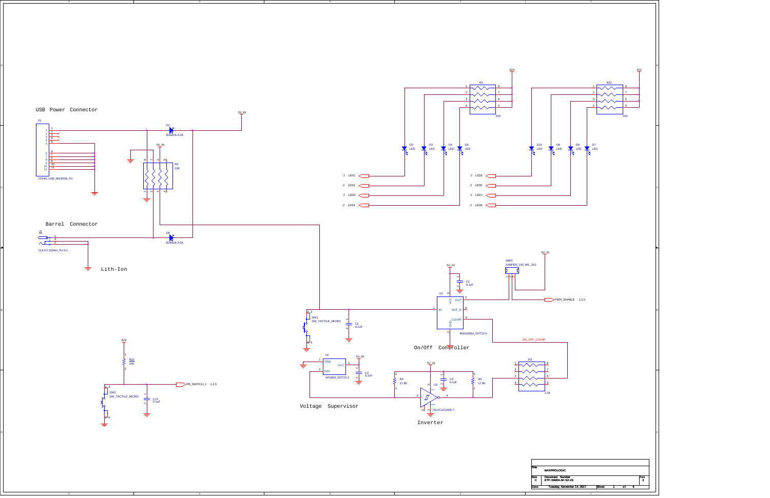4

3

B

A

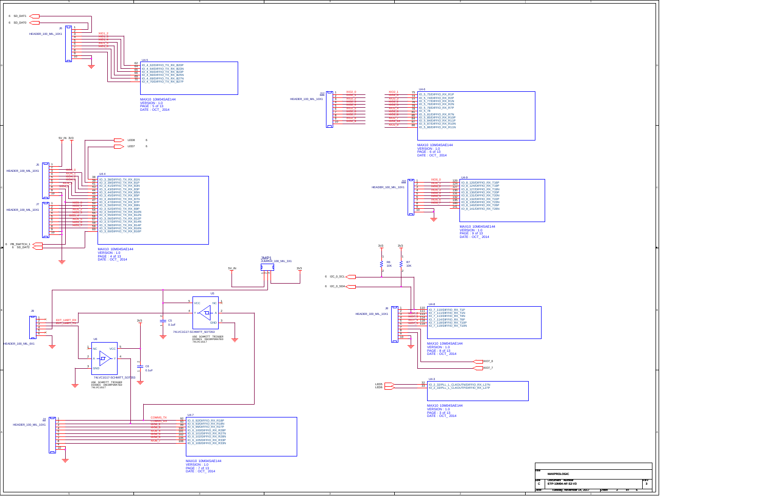

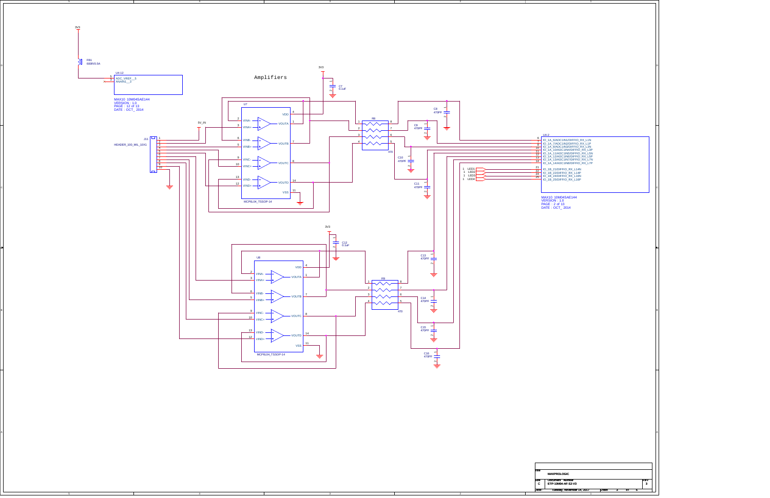

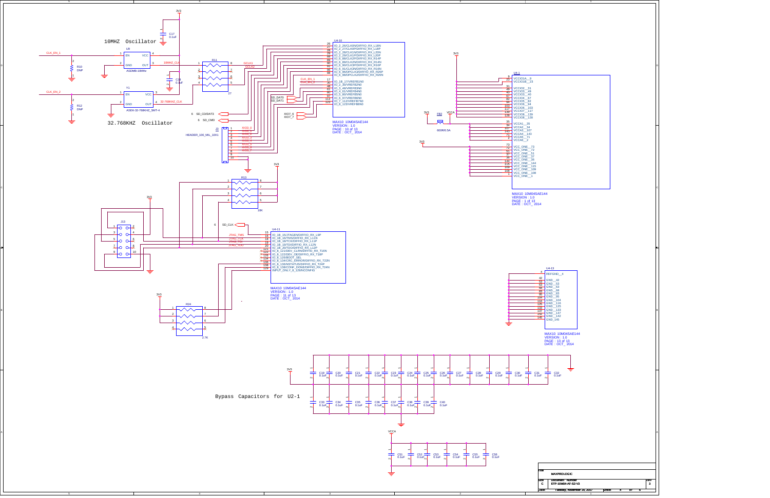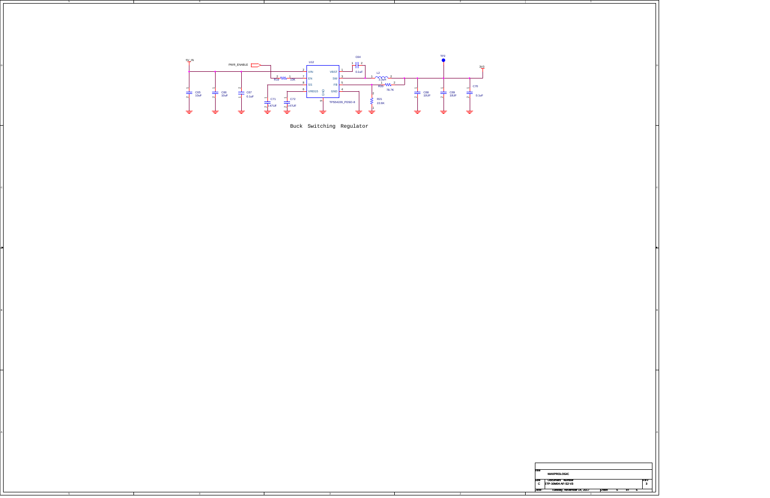4

3

B

A

Buck Switching Regulator